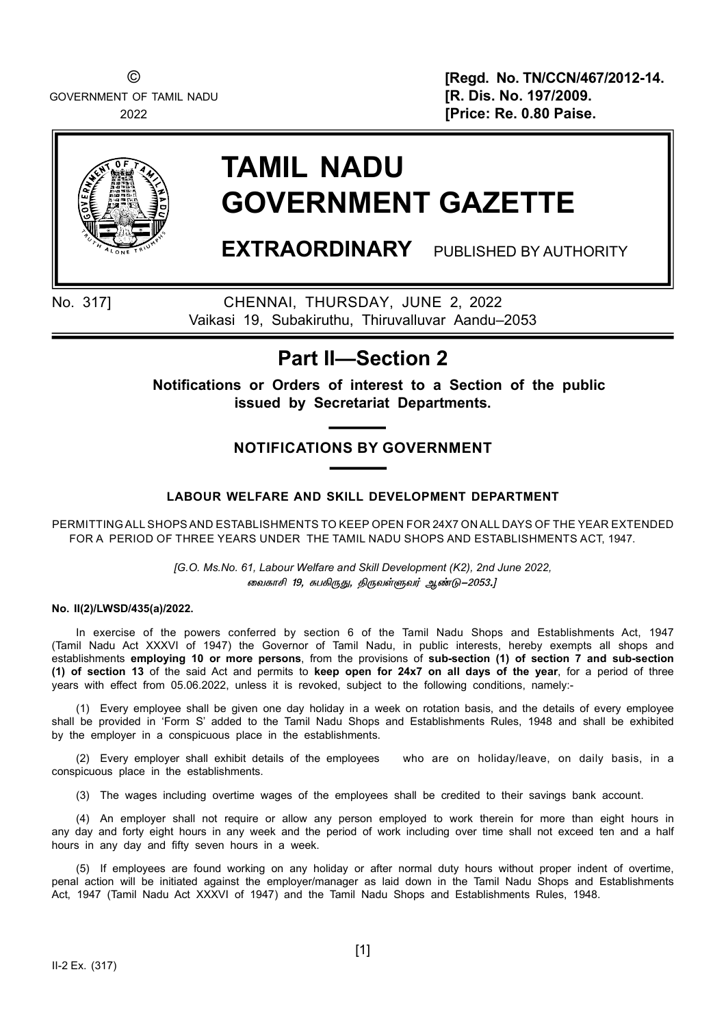GOVERNMENT OF TAMIL NADU **EXECUTE:** THE SOLUTION OF TAMIL NADU

© [Regd. No. TN/CCN/467/2012-14. 2022 [Price: Re. 0.80 Paise.



# TAMIL NADU GOVERNMENT GAZETTE

EXTRAORDINARY PUBLISHED BY AUTHORITY

No. 317] CHENNAI, THURSDAY, JUNE 2, 2022 Vaikasi 19, Subakiruthu, Thiruvalluvar Aandu–2053

## Part II—Section 2

Notifications or Orders of interest to a Section of the public issued by Secretariat Departments.

### NOTIFICATIONS BY GOVERNMENT

#### LABOUR WELFARE AND SKILL DEVELOPMENT DEPARTMENT

PERMITTING ALL SHOPS AND ESTABLISHMENTS TO KEEP OPEN FOR 24X7 ON ALL DAYS OF THE YEAR EXTENDED FOR A PERIOD OF THREE YEARS UNDER THE TAMIL NADU SHOPS AND ESTABLISHMENTS ACT, 1947.

> [G.O. Ms.No. 61, Labour Welfare and Skill Development (K2), 2nd June 2022, வைகாசி 19, சுபகிருது, திருவள்ளுவர் ஆண்டு–2053.]

#### No. II(2)/LWSD/435(a)/2022.

In exercise of the powers conferred by section 6 of the Tamil Nadu Shops and Establishments Act, 1947 (Tamil Nadu Act XXXVI of 1947) the Governor of Tamil Nadu, in public interests, hereby exempts all shops and establishments employing 10 or more persons, from the provisions of sub-section (1) of section 7 and sub-section (1) of section 13 of the said Act and permits to keep open for 24x7 on all days of the year, for a period of three years with effect from 05.06.2022, unless it is revoked, subject to the following conditions, namely:-

(1) Every employee shall be given one day holiday in a week on rotation basis, and the details of every employee shall be provided in 'Form S' added to the Tamil Nadu Shops and Establishments Rules, 1948 and shall be exhibited by the employer in a conspicuous place in the establishments.

(2) Every employer shall exhibit details of the employees who are on holiday/leave, on daily basis, in a conspicuous place in the establishments.

(3) The wages including overtime wages of the employees shall be credited to their savings bank account.

(4) An employer shall not require or allow any person employed to work therein for more than eight hours in any day and forty eight hours in any week and the period of work including over time shall not exceed ten and a half hours in any day and fifty seven hours in a week.

(5) If employees are found working on any holiday or after normal duty hours without proper indent of overtime, penal action will be initiated against the employer/manager as laid down in the Tamil Nadu Shops and Establishments Act, 1947 (Tamil Nadu Act XXXVI of 1947) and the Tamil Nadu Shops and Establishments Rules, 1948.